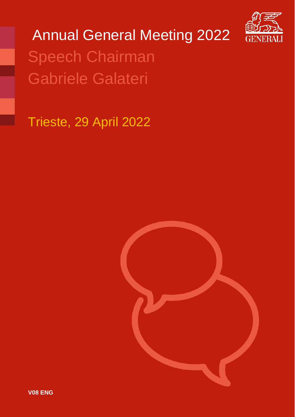

# Annual General Meeting 2022 Speech Chairman Gabriele Galateri

Trieste, 29 April 2022

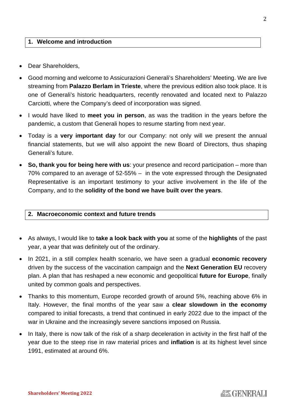#### **1. Welcome and introduction**

- Dear Shareholders,
- Good morning and welcome to Assicurazioni Generali's Shareholders' Meeting. We are live streaming from **Palazzo Berlam in Trieste**, where the previous edition also took place. It is one of Generali's historic headquarters, recently renovated and located next to Palazzo Carciotti, where the Company's deed of incorporation was signed.
- I would have liked to **meet you in person**, as was the tradition in the years before the pandemic, a custom that Generali hopes to resume starting from next year.
- Today is a **very important day** for our Company: not only will we present the annual financial statements, but we will also appoint the new Board of Directors, thus shaping Generali's future.
- **So, thank you for being here with us**: your presence and record participation more than 70% compared to an average of 52-55% – in the vote expressed through the Designated Representative is an important testimony to your active involvement in the life of the Company, and to the **solidity of the bond we have built over the years**.

#### **2. Macroeconomic context and future trends**

- As always, I would like to **take a look back with you** at some of the **highlights** of the past year, a year that was definitely out of the ordinary.
- In 2021, in a still complex health scenario, we have seen a gradual **economic recovery** driven by the success of the vaccination campaign and the **Next Generation EU** recovery plan. A plan that has reshaped a new economic and geopolitical **future for Europe**, finally united by common goals and perspectives.
- Thanks to this momentum, Europe recorded growth of around 5%, reaching above 6% in Italy. However, the final months of the year saw a **clear slowdown in the economy** compared to initial forecasts, a trend that continued in early 2022 due to the impact of the war in Ukraine and the increasingly severe sanctions imposed on Russia.
- In Italy, there is now talk of the risk of a sharp deceleration in activity in the first half of the year due to the steep rise in raw material prices and **inflation** is at its highest level since 1991, estimated at around 6%.

# **条 GENERALI**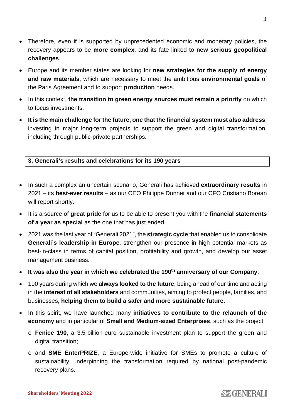- Therefore, even if is supported by unprecedented economic and monetary policies, the recovery appears to be **more complex**, and its fate linked to **new serious geopolitical challenges**.
- Europe and its member states are looking for **new strategies for the supply of energy and raw materials**, which are necessary to meet the ambitious **environmental goals** of the Paris Agreement and to support **production** needs.
- In this context, **the transition to green energy sources must remain a priority** on which to focus investments.
- **It is the main challenge for the future, one that the financial system must also address**, investing in major long-term projects to support the green and digital transformation, including through public-private partnerships.

## **3. Generali's results and celebrations for its 190 years**

- In such a complex an uncertain scenario, Generali has achieved **extraordinary results** in 2021 – its **best-ever results** – as our CEO Philippe Donnet and our CFO Cristiano Borean will report shortly.
- It is a source of **great pride** for us to be able to present you with the **financial statements of a year as special** as the one that has just ended.
- 2021 was the last year of "Generali 2021", the **strategic cycle** that enabled us to consolidate **Generali's leadership in Europe**, strengthen our presence in high potential markets as best-in-class in terms of capital position, profitability and growth, and develop our asset management business.
- **It was also the year in which we celebrated the 190th anniversary of our Company**.
- 190 years during which we **always looked to the future**, being ahead of our time and acting in the **interest of all stakeholders** and communities, aiming to protect people, families, and businesses, **helping them to build a safer and more sustainable future**.
- In this spirit, we have launched many **initiatives to contribute to the relaunch of the economy** and in particular of **Small and Medium-sized Enterprises**, such as the project
	- o **Fenice 190**, a 3.5-billion-euro sustainable investment plan to support the green and digital transition;
	- o and **SME EnterPRIZE**, a Europe-wide initiative for SMEs to promote a culture of sustainability underpinning the transformation required by national post-pandemic recovery plans.

**認い GENERALI**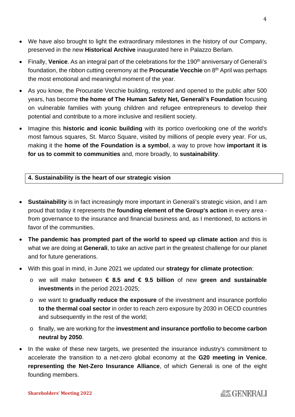- We have also brought to light the extraordinary milestones in the history of our Company, preserved in the new **Historical Archive** inaugurated here in Palazzo Berlam.
- Finally, Venice. As an integral part of the celebrations for the 190<sup>th</sup> anniversary of Generali's foundation, the ribbon cutting ceremony at the **Procuratie Vecchie** on 8<sup>th</sup> April was perhaps the most emotional and meaningful moment of the year.
- As you know, the Procuratie Vecchie building, restored and opened to the public after 500 years, has become **the home of The Human Safety Net, Generali's Foundation** focusing on vulnerable families with young children and refugee entrepreneurs to develop their potential and contribute to a more inclusive and resilient society.
- Imagine this **historic and iconic building** with its portico overlooking one of the world's most famous squares, St. Marco Square, visited by millions of people every year. For us, making it the **home of the Foundation is a symbol**, a way to prove how **important it is for us to commit to communities** and, more broadly, to **sustainability**.

## **4. Sustainability is the heart of our strategic vision**

- **Sustainability** is in fact increasingly more important in Generali's strategic vision, and I am proud that today it represents the **founding element of the Group's action** in every area from governance to the insurance and financial business and, as I mentioned, to actions in favor of the communities.
- **The pandemic has prompted part of the world to speed up climate action** and this is what we are doing at **Generali**, to take an active part in the greatest challenge for our planet and for future generations.
- With this goal in mind, in June 2021 we updated our **strategy for climate protection**:
	- o we will make between **€ 8.5 and € 9.5 billion** of new **green and sustainable investments** in the period 2021-2025;
	- o we want to **gradually reduce the exposure** of the investment and insurance portfolio **to the thermal coal sector** in order to reach zero exposure by 2030 in OECD countries and subsequently in the rest of the world;
	- o finally, we are working for the **investment and insurance portfolio to become carbon neutral by 2050**.
- In the wake of these new targets, we presented the insurance industry's commitment to accelerate the transition to a net-zero global economy at the **G20 meeting in Venice**, **representing the Net-Zero Insurance Alliance**, of which Generali is one of the eight founding members.

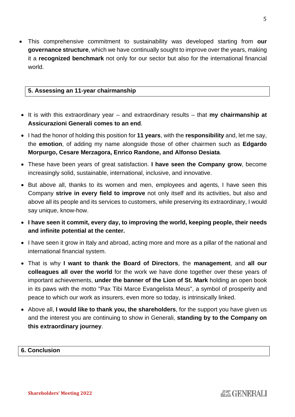• This comprehensive commitment to sustainability was developed starting from **our governance structure**, which we have continually sought to improve over the years, making it a **recognized benchmark** not only for our sector but also for the international financial world.

### **5. Assessing an 11-year chairmanship**

- It is with this extraordinary year and extraordinary results that **my chairmanship at Assicurazioni Generali comes to an end**.
- I had the honor of holding this position for **11 years**, with the **responsibility** and, let me say, the **emotion**, of adding my name alongside those of other chairmen such as **Edgardo Morpurgo, Cesare Merzagora, Enrico Randone, and Alfonso Desiata**.
- These have been years of great satisfaction. **I have seen the Company grow**, become increasingly solid, sustainable, international, inclusive, and innovative.
- But above all, thanks to its women and men, employees and agents, I have seen this Company **strive in every field to improve** not only itself and its activities, but also and above all its people and its services to customers, while preserving its extraordinary, I would say unique, know-how.
- **I have seen it commit, every day, to improving the world, keeping people, their needs and infinite potential at the center.**
- I have seen it grow in Italy and abroad, acting more and more as a pillar of the national and international financial system.
- That is why **I want to thank the Board of Directors**, the **management**, and **all our colleagues all over the world** for the work we have done together over these years of important achievements, **under the banner of the Lion of St. Mark** holding an open book in its paws with the motto "Pax Tibi Marce Evangelista Meus", a symbol of prosperity and peace to which our work as insurers, even more so today, is intrinsically linked.
- Above all, **I would like to thank you, the shareholders**, for the support you have given us and the interest you are continuing to show in Generali, **standing by to the Company on this extraordinary journey**.

#### **6. Conclusion**

**条 GENERALI**